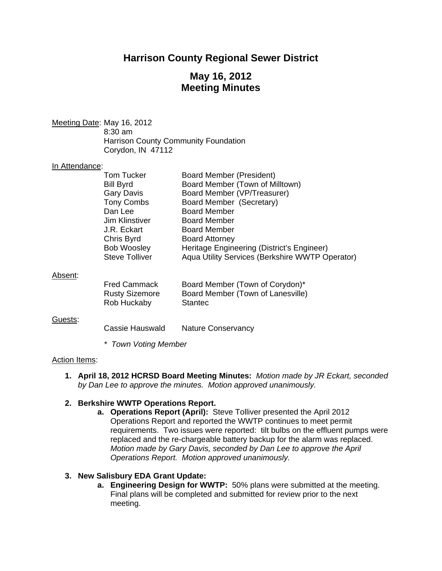# **Harrison County Regional Sewer District**

# **May 16, 2012 Meeting Minutes**

Meeting Date: May 16, 2012 8:30 am Harrison County Community Foundation Corydon, IN 47112

#### In Attendance:

|                       | <b>Board Member (President)</b>                 |
|-----------------------|-------------------------------------------------|
|                       |                                                 |
|                       | Board Member (Town of Milltown)                 |
| <b>Gary Davis</b>     | Board Member (VP/Treasurer)                     |
| <b>Tony Combs</b>     | Board Member (Secretary)                        |
| Dan Lee               | <b>Board Member</b>                             |
| <b>Jim Klinstiver</b> | <b>Board Member</b>                             |
| J.R. Eckart           | <b>Board Member</b>                             |
| Chris Byrd            | <b>Board Attorney</b>                           |
| <b>Bob Woosley</b>    | Heritage Engineering (District's Engineer)      |
| <b>Steve Tolliver</b> | Aqua Utility Services (Berkshire WWTP Operator) |
|                       |                                                 |
|                       | Tom Tucker<br><b>Bill Byrd</b>                  |

#### Absent:

| <b>Fred Cammack</b>   | Board Member (Town of Corydon)*   |
|-----------------------|-----------------------------------|
| <b>Rusty Sizemore</b> | Board Member (Town of Lanesville) |
| Rob Huckaby           | Stantec                           |

#### Guests:

Cassie Hauswald Nature Conservancy

*\* Town Voting Member* 

#### Action Items:

**1. April 18, 2012 HCRSD Board Meeting Minutes:** *Motion made by JR Eckart, seconded by Dan Lee to approve the minutes. Motion approved unanimously.* 

#### **2. Berkshire WWTP Operations Report.**

**a. Operations Report (April):** Steve Tolliver presented the April 2012 Operations Report and reported the WWTP continues to meet permit requirements. Two issues were reported: tilt bulbs on the effluent pumps were replaced and the re-chargeable battery backup for the alarm was replaced. *Motion made by Gary Davis, seconded by Dan Lee to approve the April Operations Report. Motion approved unanimously.* 

### **3. New Salisbury EDA Grant Update:**

**a. Engineering Design for WWTP:** 50% plans were submitted at the meeting. Final plans will be completed and submitted for review prior to the next meeting.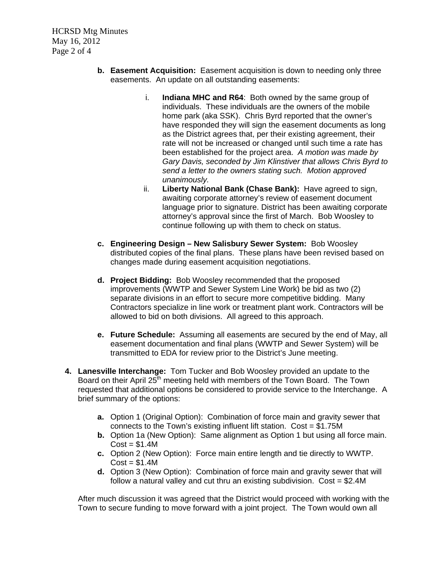HCRSD Mtg Minutes May 16, 2012 Page 2 of 4

- **b. Easement Acquisition:** Easement acquisition is down to needing only three easements. An update on all outstanding easements:
	- i. **Indiana MHC and R64**: Both owned by the same group of individuals. These individuals are the owners of the mobile home park (aka SSK). Chris Byrd reported that the owner's have responded they will sign the easement documents as long as the District agrees that, per their existing agreement, their rate will not be increased or changed until such time a rate has been established for the project area. *A motion was made by Gary Davis, seconded by Jim Klinstiver that allows Chris Byrd to send a letter to the owners stating such. Motion approved unanimously.*
	- ii. **Liberty National Bank (Chase Bank):** Have agreed to sign, awaiting corporate attorney's review of easement document language prior to signature. District has been awaiting corporate attorney's approval since the first of March. Bob Woosley to continue following up with them to check on status.
- **c. Engineering Design New Salisbury Sewer System:** Bob Woosley distributed copies of the final plans. These plans have been revised based on changes made during easement acquisition negotiations.
- **d. Project Bidding:** Bob Woosley recommended that the proposed improvements (WWTP and Sewer System Line Work) be bid as two (2) separate divisions in an effort to secure more competitive bidding. Many Contractors specialize in line work or treatment plant work. Contractors will be allowed to bid on both divisions. All agreed to this approach.
- **e. Future Schedule:** Assuming all easements are secured by the end of May, all easement documentation and final plans (WWTP and Sewer System) will be transmitted to EDA for review prior to the District's June meeting.
- **4. Lanesville Interchange:** Tom Tucker and Bob Woosley provided an update to the Board on their April  $25<sup>th</sup>$  meeting held with members of the Town Board. The Town requested that additional options be considered to provide service to the Interchange. A brief summary of the options:
	- **a.** Option 1 (Original Option): Combination of force main and gravity sewer that connects to the Town's existing influent lift station. Cost = \$1.75M
	- **b.** Option 1a (New Option): Same alignment as Option 1 but using all force main.  $Cost = $1.4M$
	- **c.** Option 2 (New Option): Force main entire length and tie directly to WWTP.  $Cost = $1.4M$
	- **d.** Option 3 (New Option): Combination of force main and gravity sewer that will follow a natural valley and cut thru an existing subdivision. Cost = \$2.4M

After much discussion it was agreed that the District would proceed with working with the Town to secure funding to move forward with a joint project. The Town would own all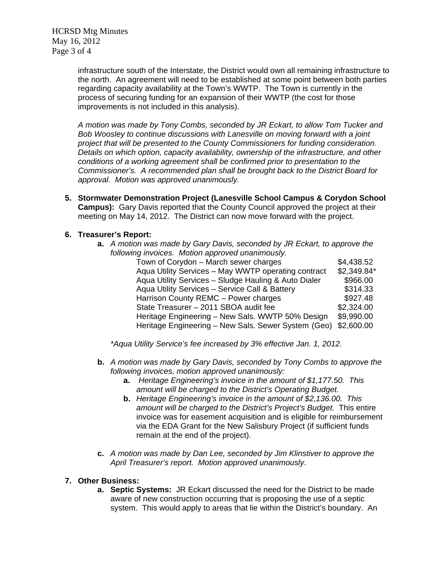HCRSD Mtg Minutes May 16, 2012 Page 3 of 4

> infrastructure south of the Interstate, the District would own all remaining infrastructure to the north. An agreement will need to be established at some point between both parties regarding capacity availability at the Town's WWTP. The Town is currently in the process of securing funding for an expansion of their WWTP (the cost for those improvements is not included in this analysis).

*A motion was made by Tony Combs, seconded by JR Eckart, to allow Tom Tucker and Bob Woosley to continue discussions with Lanesville on moving forward with a joint project that will be presented to the County Commissioners for funding consideration. Details on which option, capacity availability, ownership of the infrastructure, and other conditions of a working agreement shall be confirmed prior to presentation to the Commissioner's. A recommended plan shall be brought back to the District Board for approval. Motion was approved unanimously.*

**5. Stormwater Demonstration Project (Lanesville School Campus & Corydon School Campus):** Gary Davis reported that the County Council approved the project at their meeting on May 14, 2012. The District can now move forward with the project.

### **6. Treasurer's Report:**

| <b>a.</b> A motion was made by Gary Davis, seconded by JR Eckart, to approve the |             |  |
|----------------------------------------------------------------------------------|-------------|--|
| following invoices. Motion approved unanimously.                                 |             |  |
| Town of Corydon - March sewer charges                                            | \$4,438.52  |  |
| Aqua Utility Services - May WWTP operating contract                              | \$2,349.84* |  |
| Aqua Utility Services - Sludge Hauling & Auto Dialer                             | \$966.00    |  |
| Aqua Utility Services - Service Call & Battery                                   | \$314.33    |  |
| Harrison County REMC - Power charges                                             | \$927.48    |  |
| State Treasurer - 2011 SBOA audit fee                                            | \$2,324.00  |  |
| Heritage Engineering - New Sals. WWTP 50% Design                                 | \$9,990.00  |  |
| Heritage Engineering - New Sals. Sewer System (Geo)                              | \$2,600.00  |  |

*\*Aqua Utility Service's fee increased by 3% effective Jan. 1, 2012.* 

- **b.** *A motion was made by Gary Davis, seconded by Tony Combs to approve the following invoices, motion approved unanimously:* 
	- **a.** *Heritage Engineering's invoice in the amount of \$1,177.50. This amount will be charged to the District's Operating Budget.*
	- **b.** *Heritage Engineering's invoice in the amount of \$2,136.00. This amount will be charged to the District's Project's Budget.* This entire invoice was for easement acquisition and is eligible for reimbursement via the EDA Grant for the New Salisbury Project (if sufficient funds remain at the end of the project).
- **c.** *A motion was made by Dan Lee, seconded by Jim Klinstiver to approve the April Treasurer's report. Motion approved unanimously*.

#### **7. Other Business:**

**a. Septic Systems:** JR Eckart discussed the need for the District to be made aware of new construction occurring that is proposing the use of a septic system. This would apply to areas that lie within the District's boundary. An